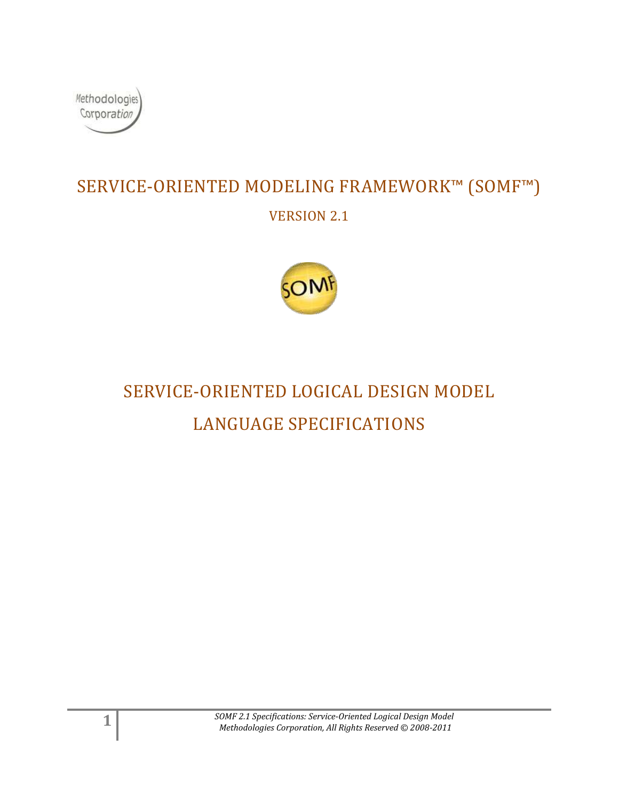

## SERVICE-ORIENTED MODELING FRAMEWORK™ (SOMF™) VERSION 2.1



# SERVICE-ORIENTED LOGICAL DESIGN MODEL LANGUAGE SPECIFICATIONS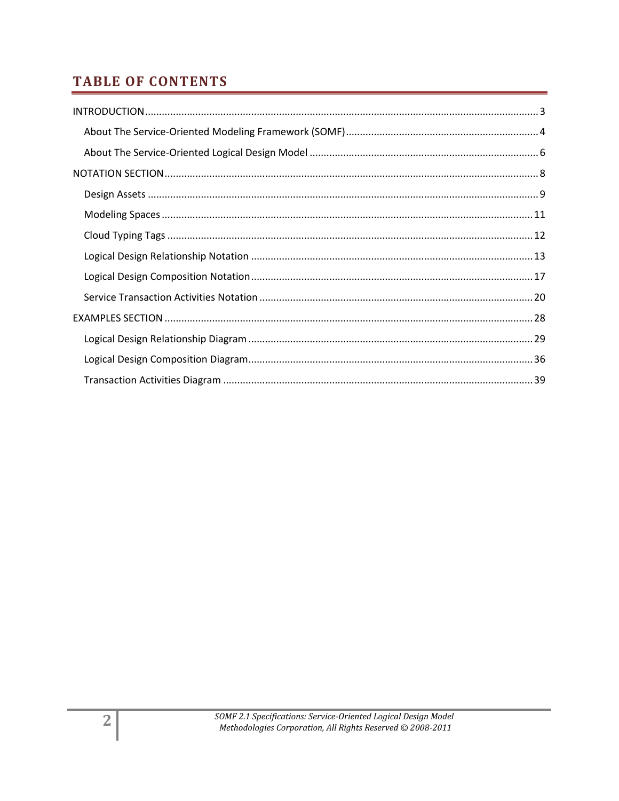## **TABLE OF CONTENTS**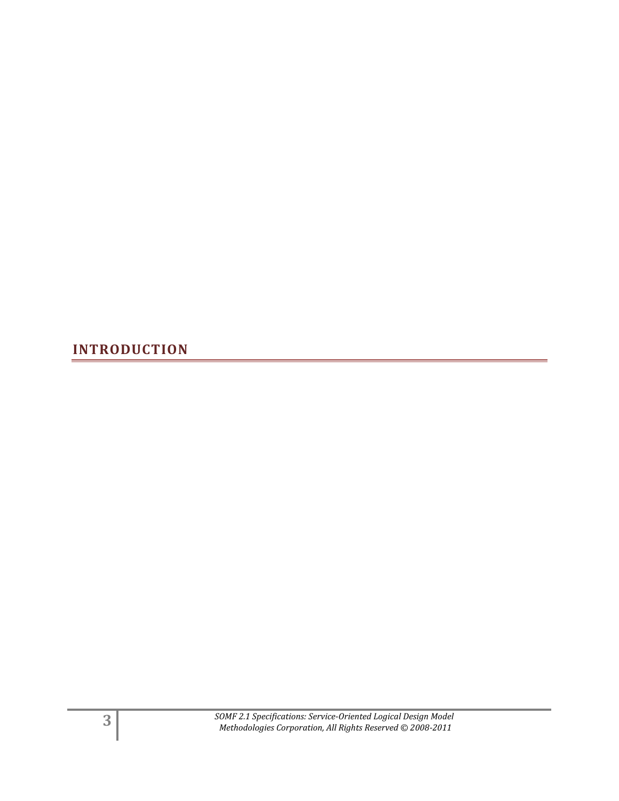<span id="page-2-0"></span>**INTRODUCTION**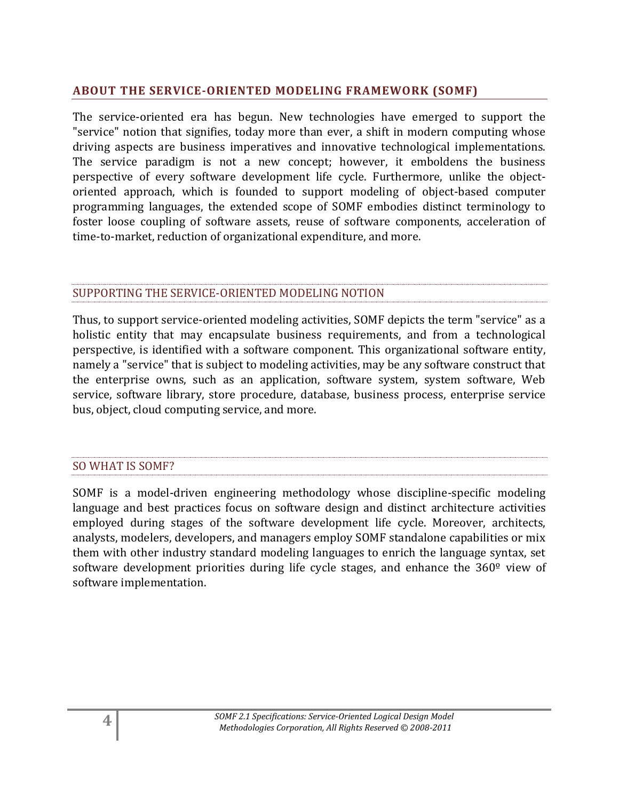## <span id="page-3-0"></span>**ABOUT THE SERVICE-ORIENTED MODELING FRAMEWORK (SOMF)**

The service-oriented era has begun. New technologies have emerged to support the "service" notion that signifies, today more than ever, a shift in modern computing whose driving aspects are business imperatives and innovative technological implementations. The service paradigm is not a new concept; however, it emboldens the business perspective of every software development life cycle. Furthermore, unlike the objectoriented approach, which is founded to support modeling of object-based computer programming languages, the extended scope of SOMF embodies distinct terminology to foster loose coupling of software assets, reuse of software components, acceleration of time-to-market, reduction of organizational expenditure, and more.

## SUPPORTING THE SERVICE-ORIENTED MODELING NOTION

Thus, to support service-oriented modeling activities, SOMF depicts the term "service" as a holistic entity that may encapsulate business requirements, and from a technological perspective, is identified with a software component. This organizational software entity, namely a "service" that is subject to modeling activities, may be any software construct that the enterprise owns, such as an application, software system, system software, Web service, software library, store procedure, database, business process, enterprise service bus, object, cloud computing service, and more.

### SO WHAT IS SOMF?

SOMF is a model-driven engineering methodology whose discipline-specific modeling language and best practices focus on software design and distinct architecture activities employed during stages of the software development life cycle. Moreover, architects, analysts, modelers, developers, and managers employ SOMF standalone capabilities or mix them with other industry standard modeling languages to enrich the language syntax, set software development priorities during life cycle stages, and enhance the 360<sup>°</sup> view of software implementation.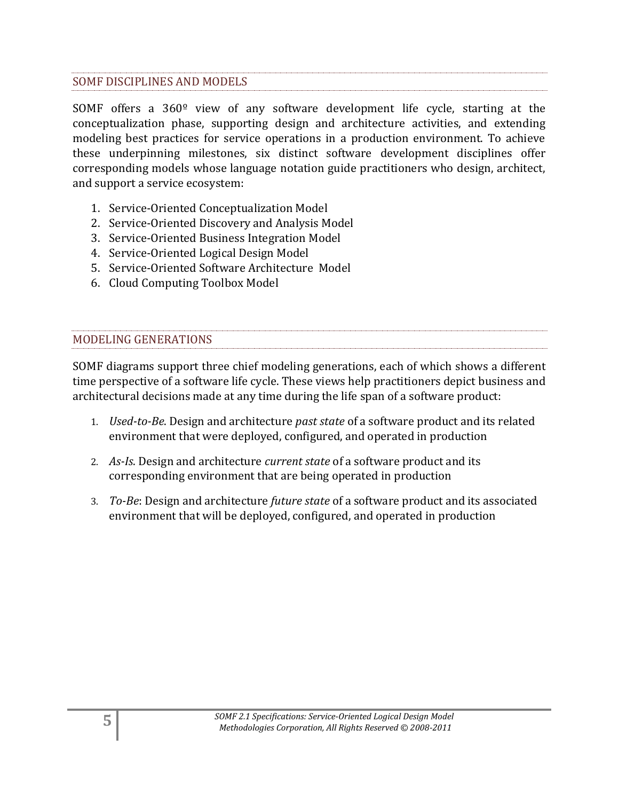## SOMF DISCIPLINES AND MODELS

SOMF offers a 360º view of any software development life cycle, starting at the conceptualization phase, supporting design and architecture activities, and extending modeling best practices for service operations in a production environment. To achieve these underpinning milestones, six distinct software development disciplines offer corresponding models whose language notation guide practitioners who design, architect, and support a service ecosystem:

- 1. Service-Oriented Conceptualization Model
- 2. Service-Oriented Discovery and Analysis Model
- 3. Service-Oriented Business Integration Model
- 4. Service-Oriented Logical Design Model
- 5. Service-Oriented Software Architecture Model
- 6. Cloud Computing Toolbox Model

## MODELING GENERATIONS

SOMF diagrams support three chief modeling generations, each of which shows a different time perspective of a software life cycle. These views help practitioners depict business and architectural decisions made at any time during the life span of a software product:

- 1. *Used-to-Be*. Design and architecture *past state* of a software product and its related environment that were deployed, configured, and operated in production
- 2. *As-Is*. Design and architecture *current state* of a software product and its corresponding environment that are being operated in production
- 3. *To-Be*: Design and architecture *future state* of a software product and its associated environment that will be deployed, configured, and operated in production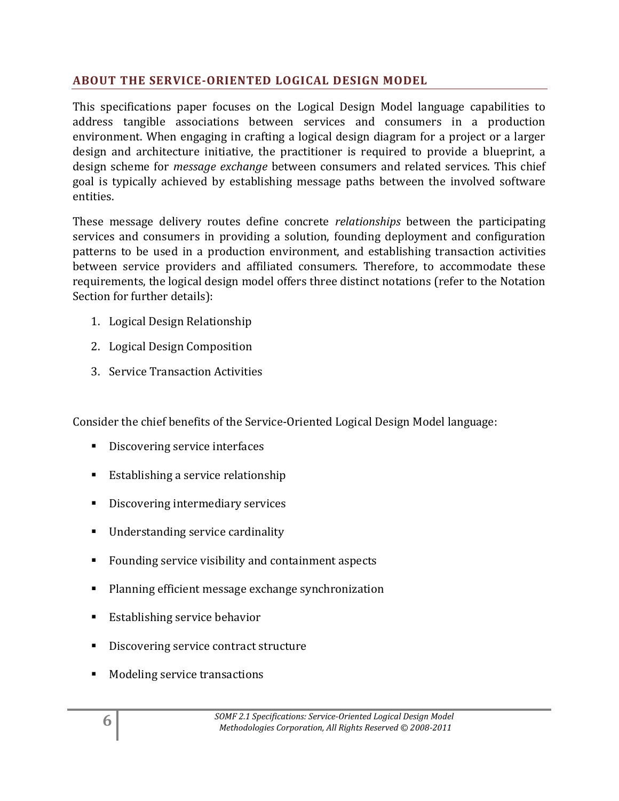## <span id="page-5-0"></span>**ABOUT THE SERVICE-ORIENTED LOGICAL DESIGN MODEL**

This specifications paper focuses on the Logical Design Model language capabilities to address tangible associations between services and consumers in a production environment. When engaging in crafting a logical design diagram for a project or a larger design and architecture initiative, the practitioner is required to provide a blueprint, a design scheme for *message exchange* between consumers and related services. This chief goal is typically achieved by establishing message paths between the involved software entities.

These message delivery routes define concrete *relationships* between the participating services and consumers in providing a solution, founding deployment and configuration patterns to be used in a production environment, and establishing transaction activities between service providers and affiliated consumers. Therefore, to accommodate these requirements, the logical design model offers three distinct notations (refer to the Notation Section for further details):

- 1. Logical Design Relationship
- 2. Logical Design Composition
- 3. Service Transaction Activities

Consider the chief benefits of the Service-Oriented Logical Design Model language:

- Discovering service interfaces
- **Establishing a service relationship**
- Discovering intermediary services
- Understanding service cardinality
- Founding service visibility and containment aspects
- **Planning efficient message exchange synchronization**
- **Establishing service behavior**
- Discovering service contract structure
- Modeling service transactions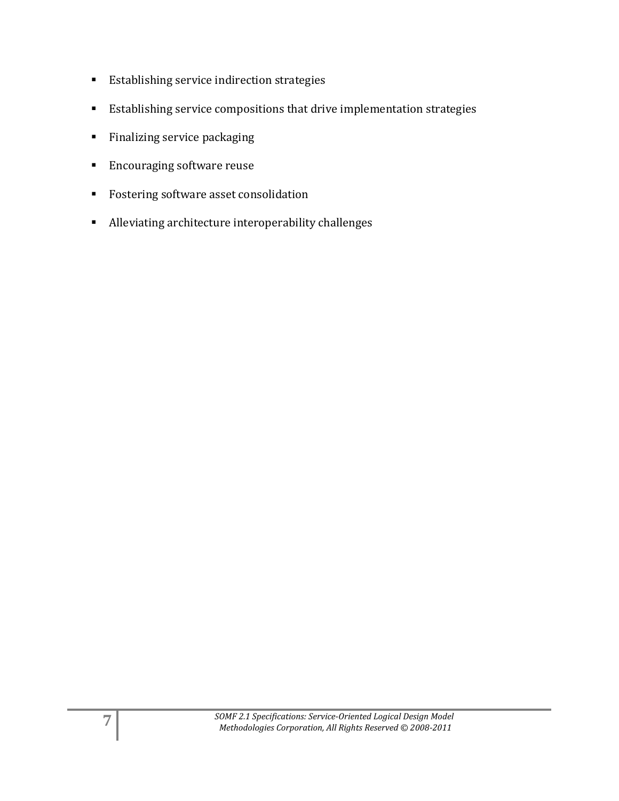- **Establishing service indirection strategies**
- Establishing service compositions that drive implementation strategies
- **Finalizing service packaging**
- **Encouraging software reuse**
- Fostering software asset consolidation
- Alleviating architecture interoperability challenges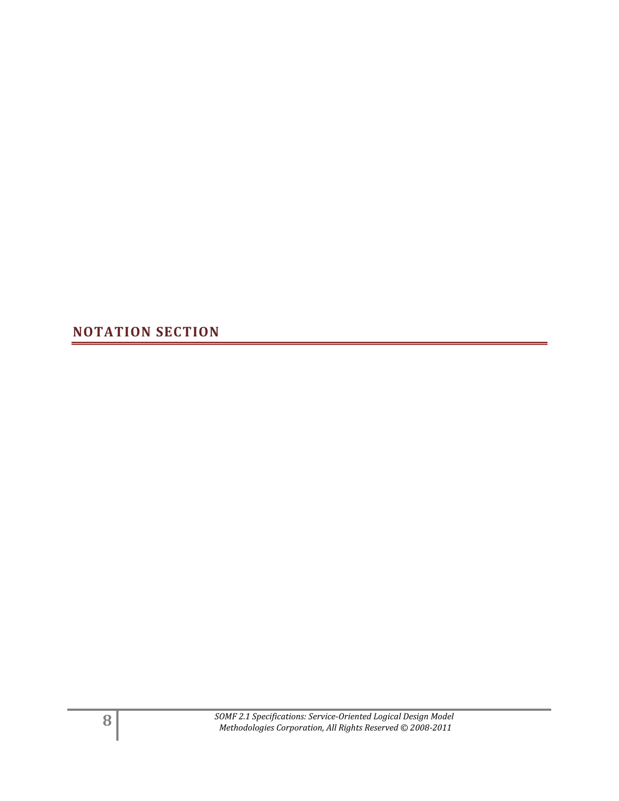<span id="page-7-0"></span>**NOTATION SECTION**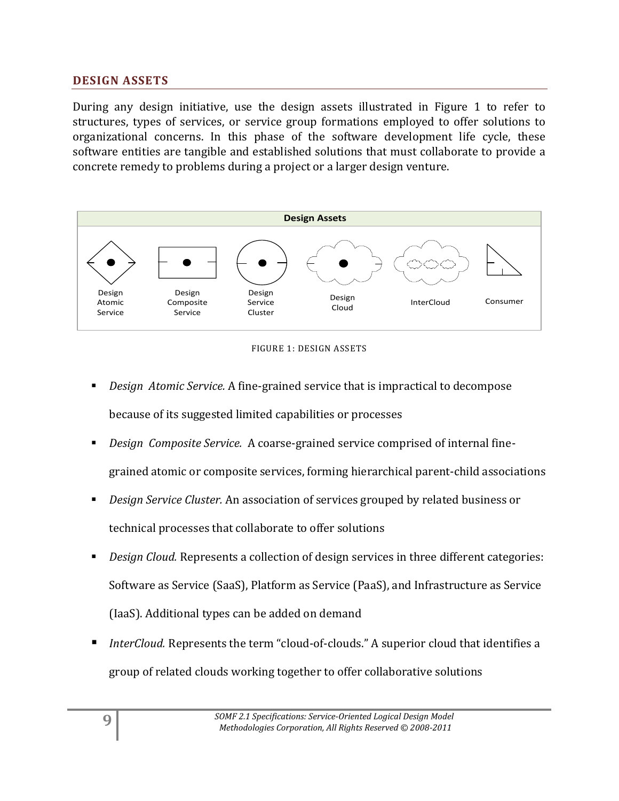## <span id="page-8-0"></span>**DESIGN ASSETS**

During any design initiative, use the design assets illustrated in Figure 1 to refer to structures, types of services, or service group formations employed to offer solutions to organizational concerns. In this phase of the software development life cycle, these software entities are tangible and established solutions that must collaborate to provide a concrete remedy to problems during a project or a larger design venture.





- *Design Atomic Service.* A fine-grained service that is impractical to decompose because of its suggested limited capabilities or processes
- *Design Composite Service.* A coarse-grained service comprised of internal finegrained atomic or composite services, forming hierarchical parent-child associations
- *Design Service Cluster.* An association of services grouped by related business or technical processes that collaborate to offer solutions
- *Design Cloud.* Represents a collection of design services in three different categories: Software as Service (SaaS), Platform as Service (PaaS), and Infrastructure as Service (IaaS). Additional types can be added on demand
- *InterCloud.* Represents the term "cloud-of-clouds." A superior cloud that identifies a group of related clouds working together to offer collaborative solutions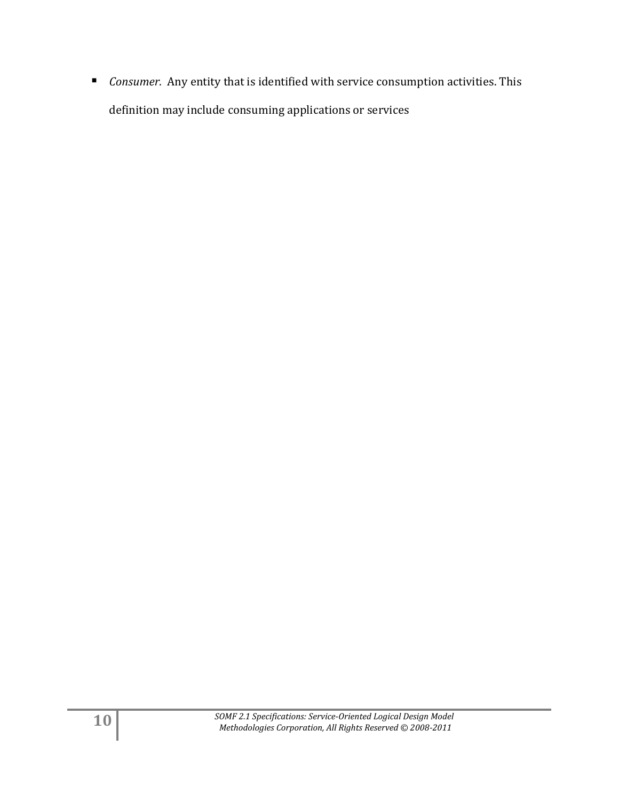*Consumer.* Any entity that is identified with service consumption activities. This definition may include consuming applications or services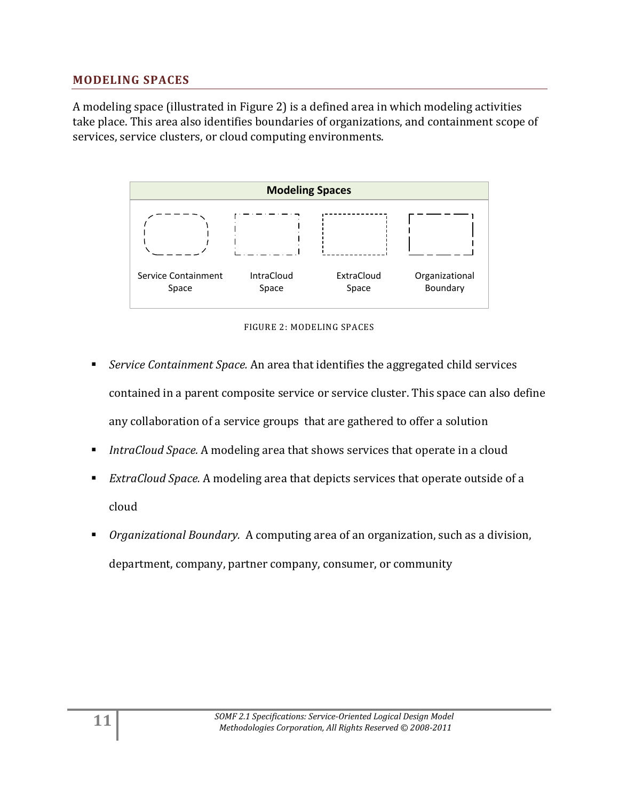## <span id="page-10-0"></span>**MODELING SPACES**

A modeling space (illustrated in Figure 2) is a defined area in which modeling activities take place. This area also identifies boundaries of organizations, and containment scope of services, service clusters, or cloud computing environments.



FIGURE 2: MODELING SPACES

- *Service Containment Space.* An area that identifies the aggregated child services contained in a parent composite service or service cluster. This space can also define any collaboration of a service groups that are gathered to offer a solution
- *IntraCloud Space.* A modeling area that shows services that operate in a cloud
- *ExtraCloud Space.* A modeling area that depicts services that operate outside of a cloud
- *Organizational Boundary.* A computing area of an organization, such as a division, department, company, partner company, consumer, or community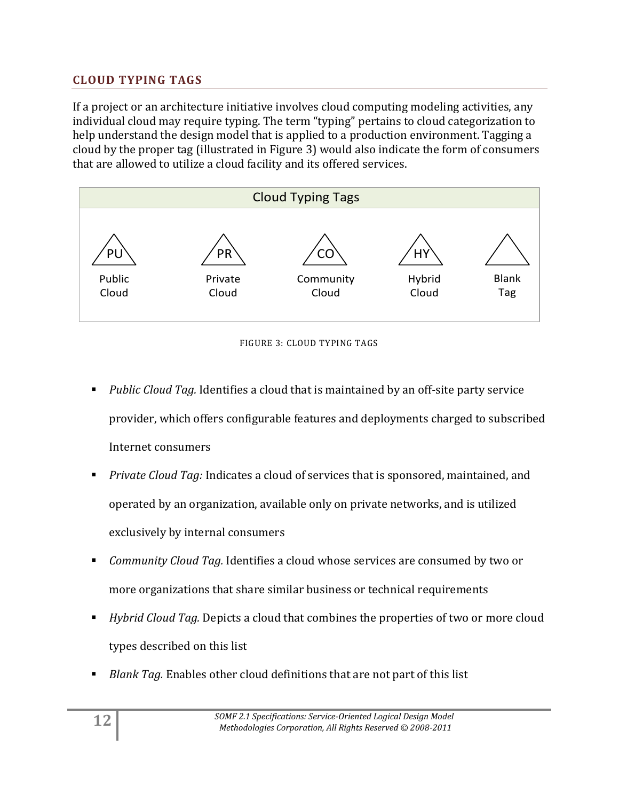## <span id="page-11-0"></span>**CLOUD TYPING TAGS**

If a project or an architecture initiative involves cloud computing modeling activities, any individual cloud may require typing. The term "typing" pertains to cloud categorization to help understand the design model that is applied to a production environment. Tagging a cloud by the proper tag (illustrated in Figure 3) would also indicate the form of consumers that are allowed to utilize a cloud facility and its offered services.





- *Public Cloud Tag.* Identifies a cloud that is maintained by an off-site party service provider, which offers configurable features and deployments charged to subscribed Internet consumers
- *Private Cloud Tag:* Indicates a cloud of services that is sponsored, maintained, and operated by an organization, available only on private networks, and is utilized exclusively by internal consumers
- *Community Cloud Tag.* Identifies a cloud whose services are consumed by two or more organizations that share similar business or technical requirements
- *Hybrid Cloud Tag.* Depicts a cloud that combines the properties of two or more cloud types described on this list
- *Blank Tag.* Enables other cloud definitions that are not part of this list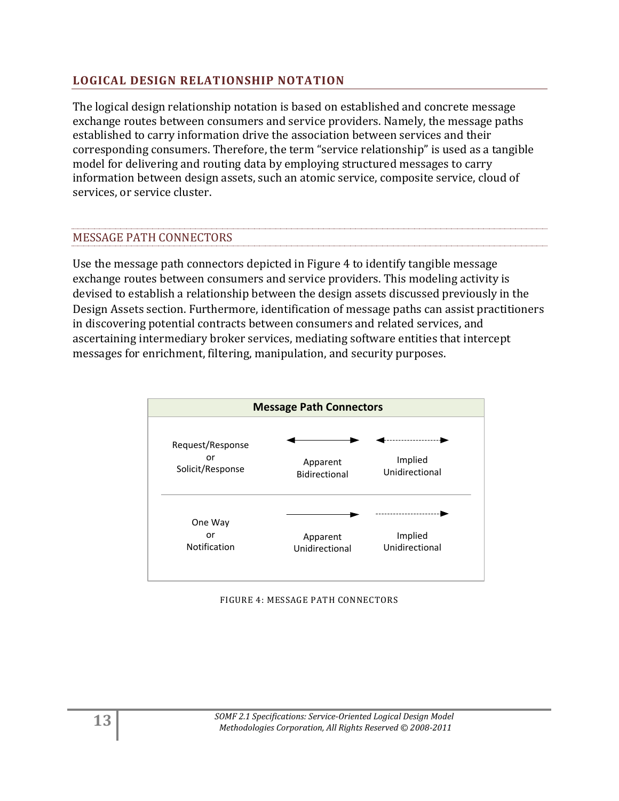## <span id="page-12-0"></span>**LOGICAL DESIGN RELATIONSHIP NOTATION**

The logical design relationship notation is based on established and concrete message exchange routes between consumers and service providers. Namely, the message paths established to carry information drive the association between services and their corresponding consumers. Therefore, the term "service relationship" is used as a tangible model for delivering and routing data by employing structured messages to carry information between design assets, such an atomic service, composite service, cloud of services, or service cluster.

## MESSAGE PATH CONNECTORS

Use the message path connectors depicted in Figure 4 to identify tangible message exchange routes between consumers and service providers. This modeling activity is devised to establish a relationship between the design assets discussed previously in the Design Assets section. Furthermore, identification of message paths can assist practitioners in discovering potential contracts between consumers and related services, and ascertaining intermediary broker services, mediating software entities that intercept messages for enrichment, filtering, manipulation, and security purposes.



FIGURE 4: MESSAGE PATH CONNECTORS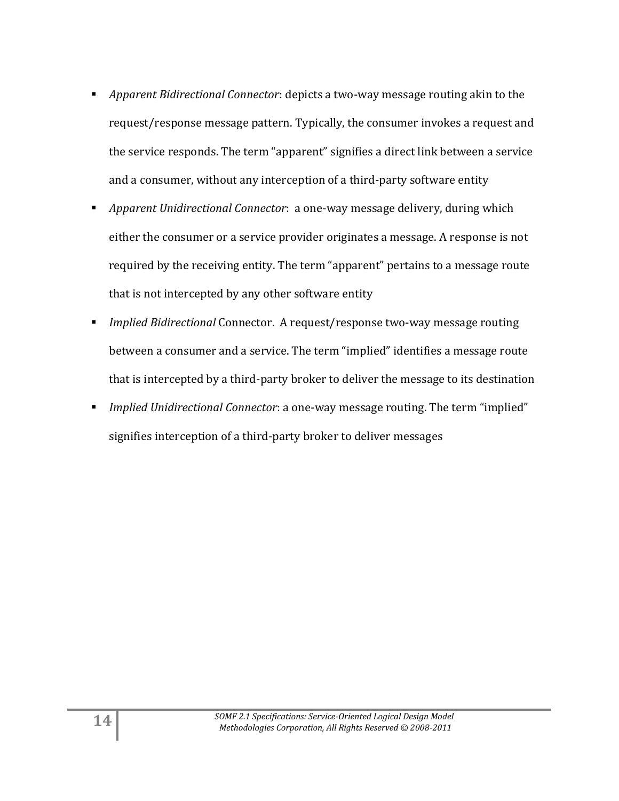- *Apparent Bidirectional Connector*: depicts a two-way message routing akin to the request/response message pattern. Typically, the consumer invokes a request and the service responds. The term "apparent" signifies a direct link between a service and a consumer, without any interception of a third-party software entity
- *Apparent Unidirectional Connector*: a one-way message delivery, during which either the consumer or a service provider originates a message. A response is not required by the receiving entity. The term "apparent" pertains to a message route that is not intercepted by any other software entity
- *Implied Bidirectional* Connector. A request/response two-way message routing between a consumer and a service. The term "implied" identifies a message route that is intercepted by a third-party broker to deliver the message to its destination
- *Implied Unidirectional Connector*: a one-way message routing. The term "implied" signifies interception of a third-party broker to deliver messages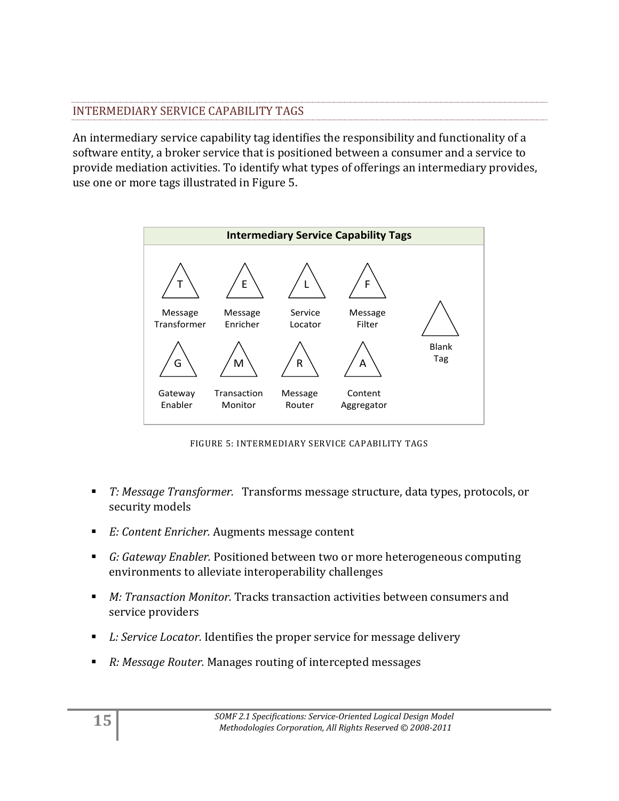## INTERMEDIARY SERVICE CAPABILITY TAGS

An intermediary service capability tag identifies the responsibility and functionality of a software entity, a broker service that is positioned between a consumer and a service to provide mediation activities. To identify what types of offerings an intermediary provides, use one or more tags illustrated in Figure 5.



FIGURE 5: INTERMEDIARY SERVICE CAPABILITY TAGS

- *T: Message Transformer.* Transforms message structure, data types, protocols, or security models
- *E: Content Enricher.* Augments message content
- *G: Gateway Enabler.* Positioned between two or more heterogeneous computing environments to alleviate interoperability challenges
- *M: Transaction Monitor.* Tracks transaction activities between consumers and service providers
- *L: Service Locator.* Identifies the proper service for message delivery
- *R: Message Router.* Manages routing of intercepted messages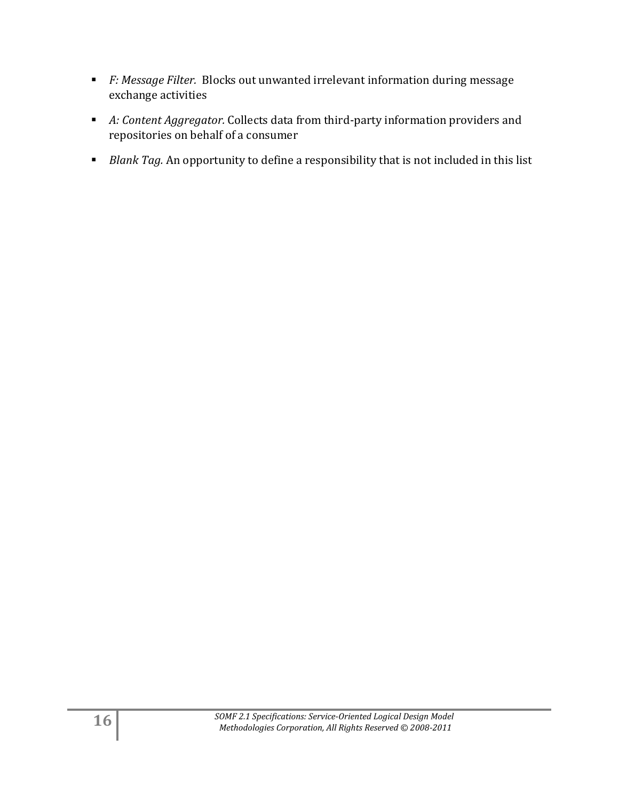- *F: Message Filter.* Blocks out unwanted irrelevant information during message exchange activities
- *A: Content Aggregator.* Collects data from third-party information providers and repositories on behalf of a consumer
- **Blank Tag.** An opportunity to define a responsibility that is not included in this list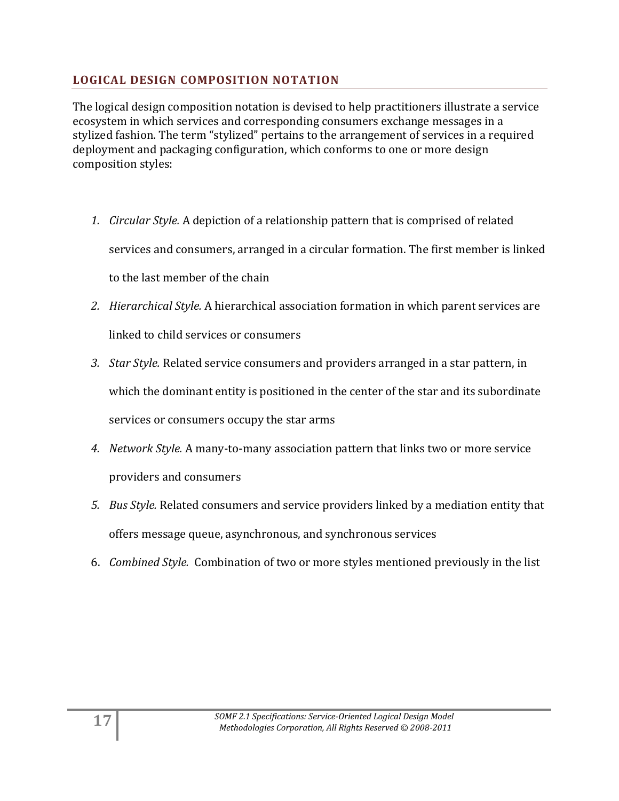## <span id="page-16-0"></span>**LOGICAL DESIGN COMPOSITION NOTATION**

The logical design composition notation is devised to help practitioners illustrate a service ecosystem in which services and corresponding consumers exchange messages in a stylized fashion. The term "stylized" pertains to the arrangement of services in a required deployment and packaging configuration, which conforms to one or more design composition styles:

- *1. Circular Style.* A depiction of a relationship pattern that is comprised of related services and consumers, arranged in a circular formation. The first member is linked to the last member of the chain
- *2. Hierarchical Style.* A hierarchical association formation in which parent services are linked to child services or consumers
- *3. Star Style.* Related service consumers and providers arranged in a star pattern, in which the dominant entity is positioned in the center of the star and its subordinate services or consumers occupy the star arms
- *4. Network Style.* A many-to-many association pattern that links two or more service providers and consumers
- *5. Bus Style.* Related consumers and service providers linked by a mediation entity that offers message queue, asynchronous, and synchronous services
- 6. *Combined Style.* Combination of two or more styles mentioned previously in the list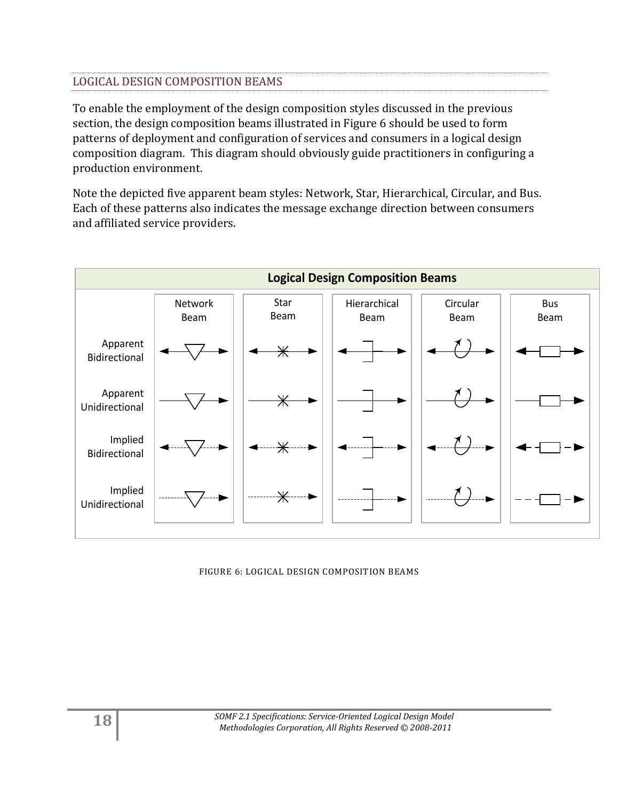## LOGICAL DESIGN COMPOSITION BEAMS

To enable the employment of the design composition styles discussed in the previous section, the design composition beams illustrated in Figure 6 should be used to form patterns of deployment and configuration of services and consumers in a logical design composition diagram. This diagram should obviously guide practitioners in configuring a production environment.

Note the depicted five apparent beam styles: Network, Star, Hierarchical, Circular, and Bus. Each of these patterns also indicates the message exchange direction between consumers and affiliated service providers.



#### FIGURE 6: LOGICAL DESIGN COMPOSITION BEAMS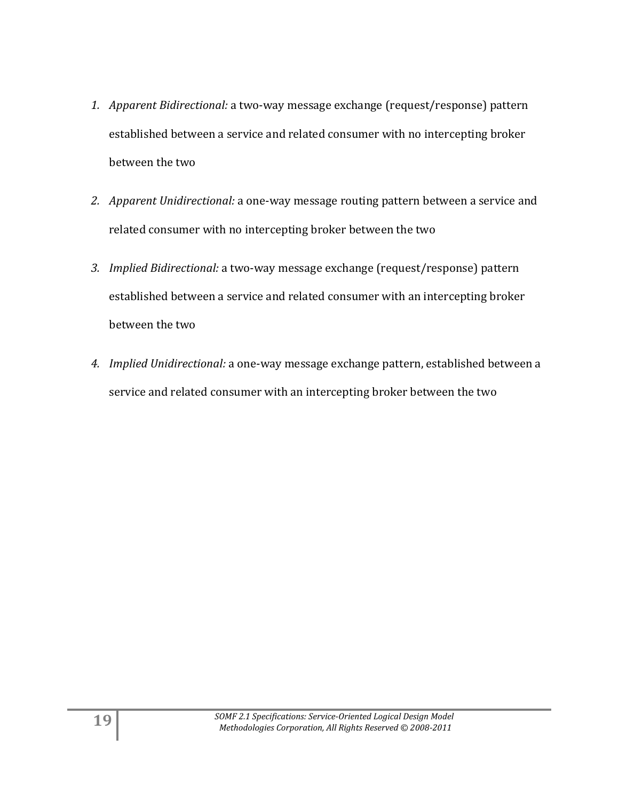- *1. Apparent Bidirectional:* a two-way message exchange (request/response) pattern established between a service and related consumer with no intercepting broker between the two
- *2. Apparent Unidirectional:* a one-way message routing pattern between a service and related consumer with no intercepting broker between the two
- *3. Implied Bidirectional:* a two-way message exchange (request/response) pattern established between a service and related consumer with an intercepting broker between the two
- *4. Implied Unidirectional:* a one-way message exchange pattern, established between a service and related consumer with an intercepting broker between the two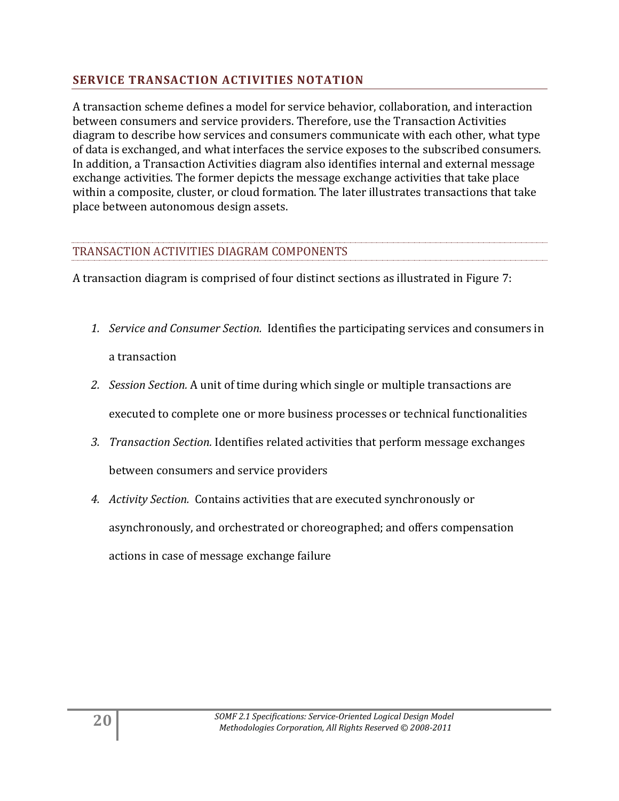## <span id="page-19-0"></span>**SERVICE TRANSACTION ACTIVITIES NOTATION**

A transaction scheme defines a model for service behavior, collaboration, and interaction between consumers and service providers. Therefore, use the Transaction Activities diagram to describe how services and consumers communicate with each other, what type of data is exchanged, and what interfaces the service exposes to the subscribed consumers. In addition, a Transaction Activities diagram also identifies internal and external message exchange activities. The former depicts the message exchange activities that take place within a composite, cluster, or cloud formation. The later illustrates transactions that take place between autonomous design assets.

## TRANSACTION ACTIVITIES DIAGRAM COMPONENTS

A transaction diagram is comprised of four distinct sections as illustrated in Figure 7:

- *1. Service and Consumer Section.* Identifies the participating services and consumers in a transaction
- *2. Session Section.* A unit of time during which single or multiple transactions are executed to complete one or more business processes or technical functionalities
- *3. Transaction Section.* Identifies related activities that perform message exchanges between consumers and service providers
- *4. Activity Section.* Contains activities that are executed synchronously or asynchronously, and orchestrated or choreographed; and offers compensation actions in case of message exchange failure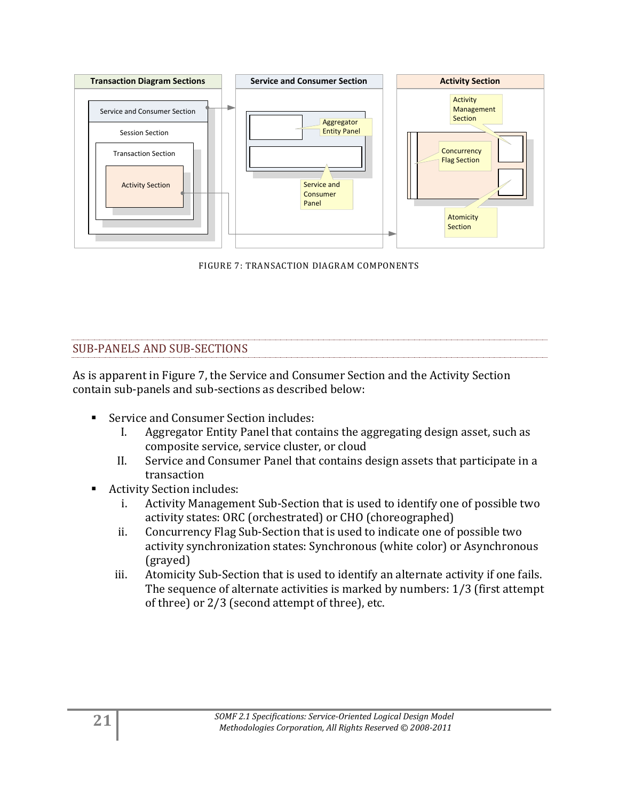

FIGURE 7: TRANSACTION DIAGRAM COMPONENTS

## SUB-PANELS AND SUB-SECTIONS

As is apparent in Figure 7, the Service and Consumer Section and the Activity Section contain sub-panels and sub-sections as described below:

- Service and Consumer Section includes:
	- I. Aggregator Entity Panel that contains the aggregating design asset, such as composite service, service cluster, or cloud
	- II. Service and Consumer Panel that contains design assets that participate in a transaction
- Activity Section includes:
	- i. Activity Management Sub-Section that is used to identify one of possible two activity states: ORC (orchestrated) or CHO (choreographed)
	- ii. Concurrency Flag Sub-Section that is used to indicate one of possible two activity synchronization states: Synchronous (white color) or Asynchronous (grayed)
	- iii. Atomicity Sub-Section that is used to identify an alternate activity if one fails. The sequence of alternate activities is marked by numbers: 1/3 (first attempt of three) or 2/3 (second attempt of three), etc.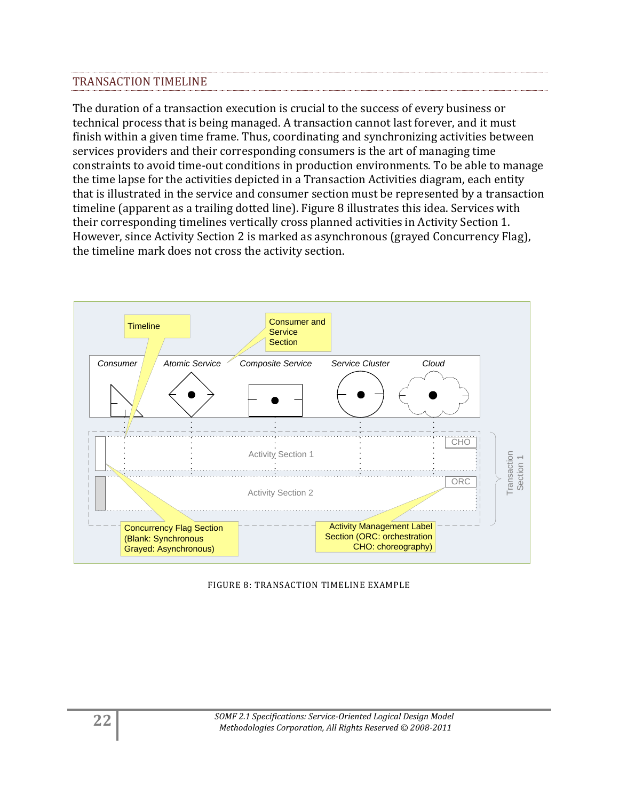## TRANSACTION TIMELINE

The duration of a transaction execution is crucial to the success of every business or technical process that is being managed. A transaction cannot last forever, and it must finish within a given time frame. Thus, coordinating and synchronizing activities between services providers and their corresponding consumers is the art of managing time constraints to avoid time-out conditions in production environments. To be able to manage the time lapse for the activities depicted in a Transaction Activities diagram, each entity that is illustrated in the service and consumer section must be represented by a transaction timeline (apparent as a trailing dotted line). Figure 8 illustrates this idea. Services with their corresponding timelines vertically cross planned activities in Activity Section 1. However, since Activity Section 2 is marked as asynchronous (grayed Concurrency Flag), the timeline mark does not cross the activity section.



FIGURE 8: TRANSACTION TIMELINE EXAMPLE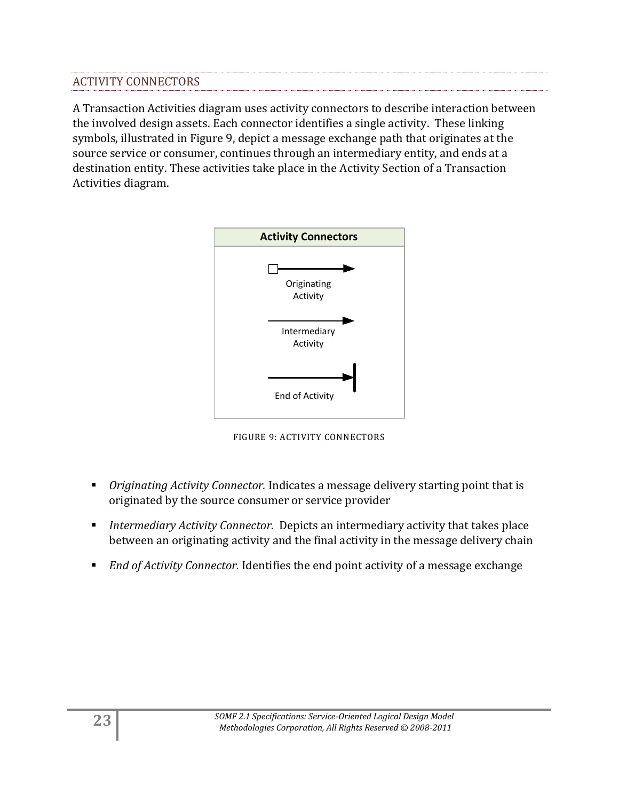## ACTIVITY CONNECTORS

A Transaction Activities diagram uses activity connectors to describe interaction between the involved design assets. Each connector identifies a single activity. These linking symbols, illustrated in Figure 9, depict a message exchange path that originates at the source service or consumer, continues through an intermediary entity, and ends at a destination entity. These activities take place in the Activity Section of a Transaction Activities diagram.



FIGURE 9: ACTIVITY CONNECTORS

- *Originating Activity Connector.* Indicates a message delivery starting point that is originated by the source consumer or service provider
- *Intermediary Activity Connector.* Depicts an intermediary activity that takes place between an originating activity and the final activity in the message delivery chain
- *End of Activity Connector.* Identifies the end point activity of a message exchange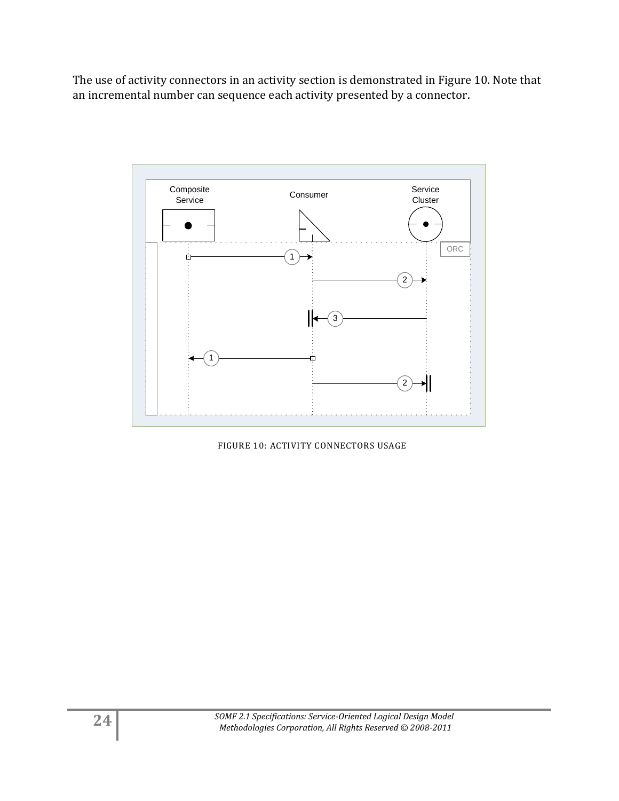The use of activity connectors in an activity section is demonstrated in Figure 10. Note that an incremental number can sequence each activity presented by a connector.



FIGURE 10: ACTIVITY CONNECTORS USAGE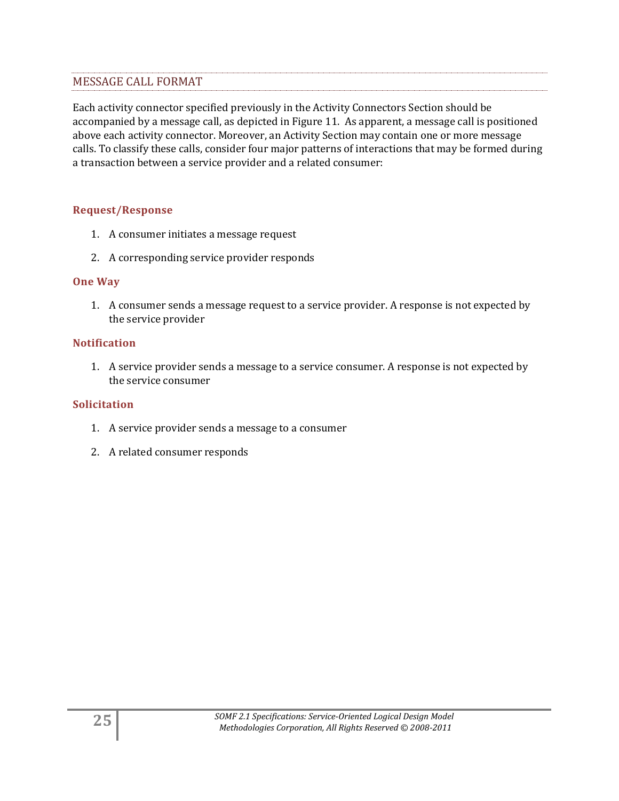## MESSAGE CALL FORMAT

Each activity connector specified previously in the Activity Connectors Section should be accompanied by a message call, as depicted in Figure 11. As apparent, a message call is positioned above each activity connector. Moreover, an Activity Section may contain one or more message calls. To classify these calls, consider four major patterns of interactions that may be formed during a transaction between a service provider and a related consumer:

#### **Request/Response**

- 1. A consumer initiates a message request
- 2. A corresponding service provider responds

#### **One Way**

1. A consumer sends a message request to a service provider. A response is not expected by the service provider

#### **Notification**

1. A service provider sends a message to a service consumer. A response is not expected by the service consumer

#### **Solicitation**

- 1. A service provider sends a message to a consumer
- 2. A related consumer responds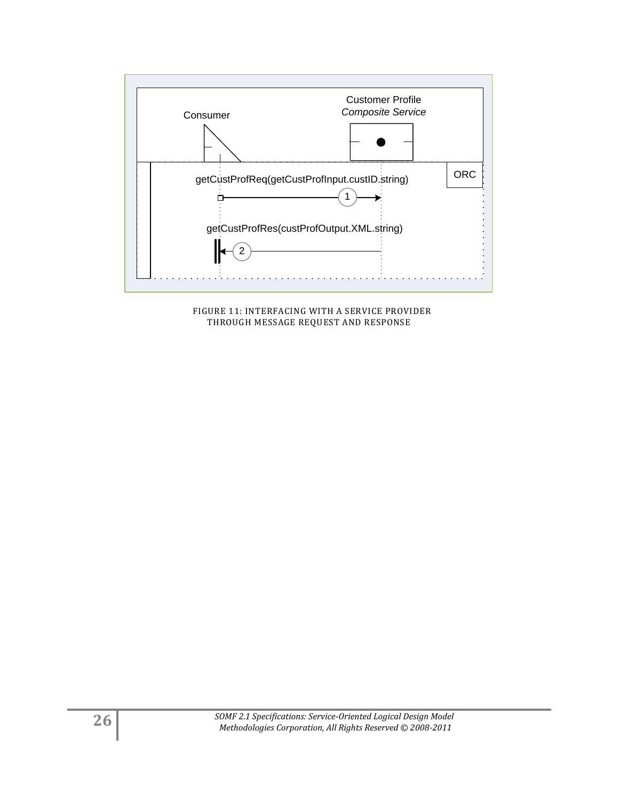

 FIGURE 11: INTERFACING WITH A SERVICE PROVIDER THROUGH MESSAGE REQUEST AND RESPONSE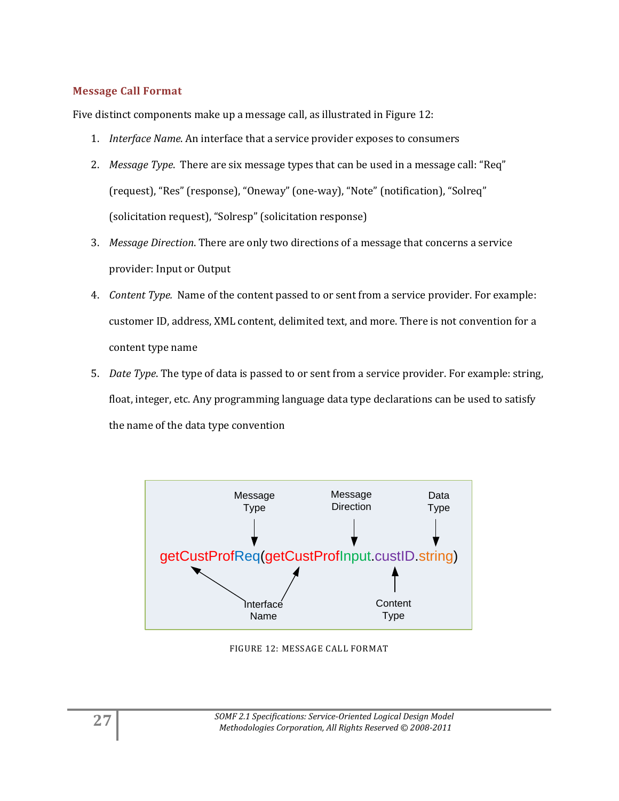#### **Message Call Format**

Five distinct components make up a message call, as illustrated in Figure 12:

- 1. *Interface Name*. An interface that a service provider exposes to consumers
- 2. *Message Type*. There are six message types that can be used in a message call: "Req" (request), "Res" (response), "Oneway" (one-way), "Note" (notification), "Solreq" (solicitation request), "Solresp" (solicitation response)
- 3. *Message Direction*. There are only two directions of a message that concerns a service provider: Input or Output
- 4. *Content Type.* Name of the content passed to or sent from a service provider. For example: customer ID, address, XML content, delimited text, and more. There is not convention for a content type name
- 5. *Date Type*. The type of data is passed to or sent from a service provider. For example: string, float, integer, etc. Any programming language data type declarations can be used to satisfy the name of the data type convention



FIGURE 12: MESSAGE CALL FORMAT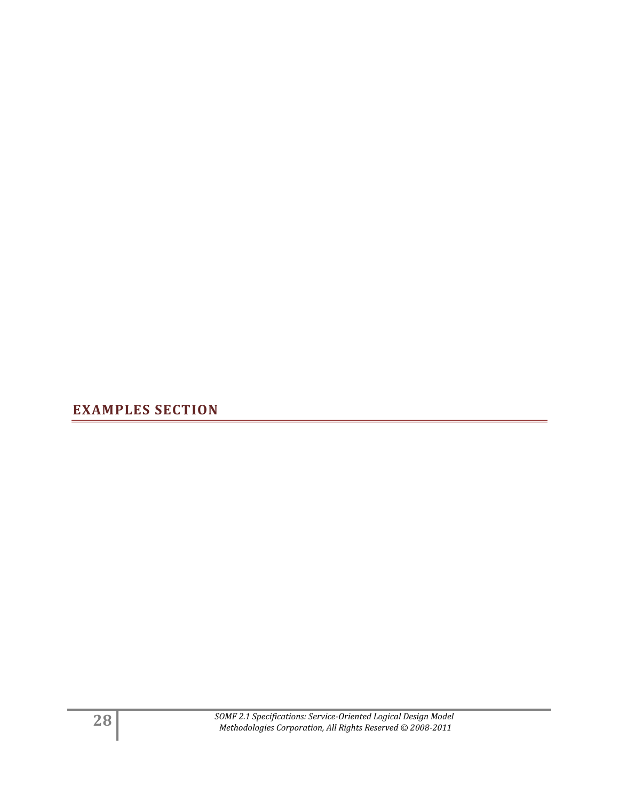<span id="page-27-0"></span>**EXAMPLES SECTION**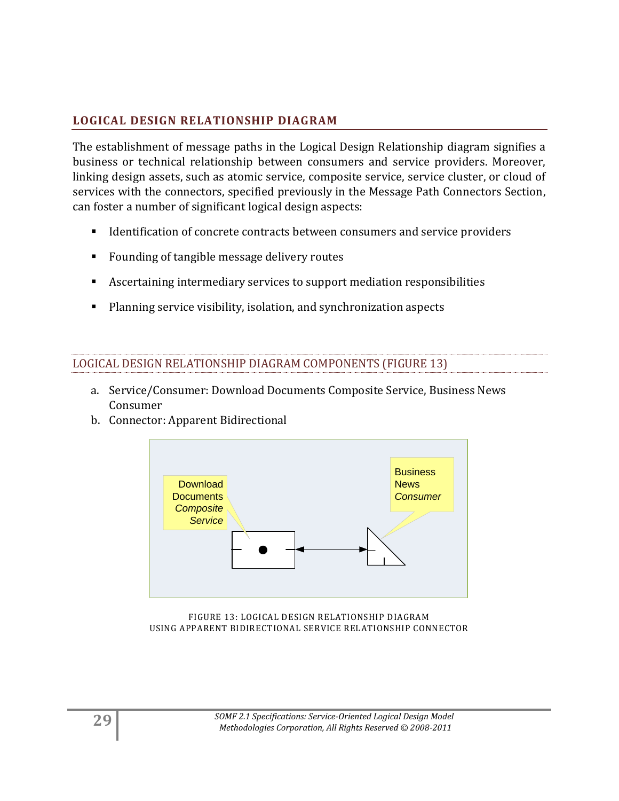## <span id="page-28-0"></span>**LOGICAL DESIGN RELATIONSHIP DIAGRAM**

The establishment of message paths in the Logical Design Relationship diagram signifies a business or technical relationship between consumers and service providers. Moreover, linking design assets, such as atomic service, composite service, service cluster, or cloud of services with the connectors, specified previously in the Message Path Connectors Section, can foster a number of significant logical design aspects:

- **IDENTIFICATE:** Identification of concrete contracts between consumers and service providers
- Founding of tangible message delivery routes
- Ascertaining intermediary services to support mediation responsibilities
- Planning service visibility, isolation, and synchronization aspects

### LOGICAL DESIGN RELATIONSHIP DIAGRAM COMPONENTS (FIGURE 13)

- a. Service/Consumer: Download Documents Composite Service, Business News Consumer
- b. Connector: Apparent Bidirectional



FIGURE 13: LOGICAL DESIGN RELATIONSHIP DIAGRAM USING APPARENT BIDIRECTIONAL SERVICE RELATIONSHIP CONNECTOR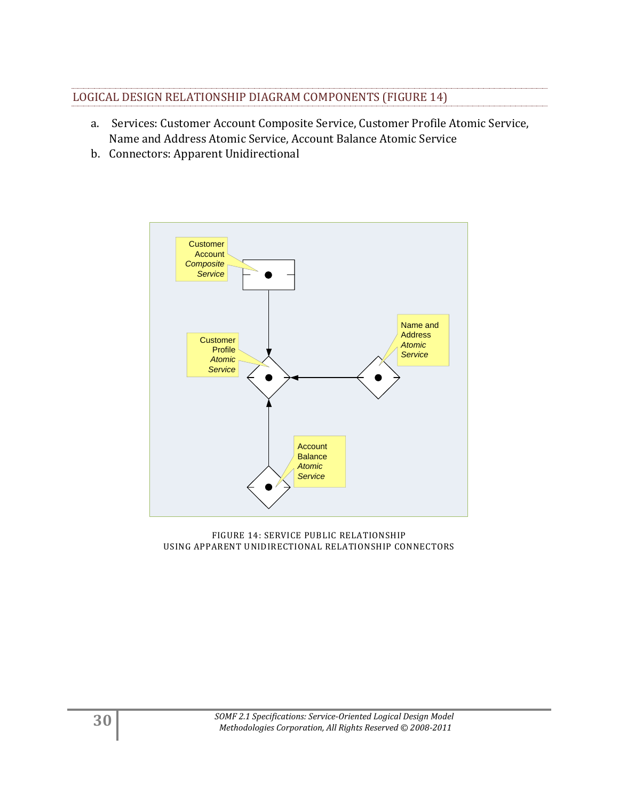## LOGICAL DESIGN RELATIONSHIP DIAGRAM COMPONENTS (FIGURE 14)

- a. Services: Customer Account Composite Service, Customer Profile Atomic Service, Name and Address Atomic Service, Account Balance Atomic Service
- b. Connectors: Apparent Unidirectional



FIGURE 14: SERVICE PUBLIC RELATIONSHIP USING APPARENT UNIDIRECTIONAL RELATIONSHIP CONNECTORS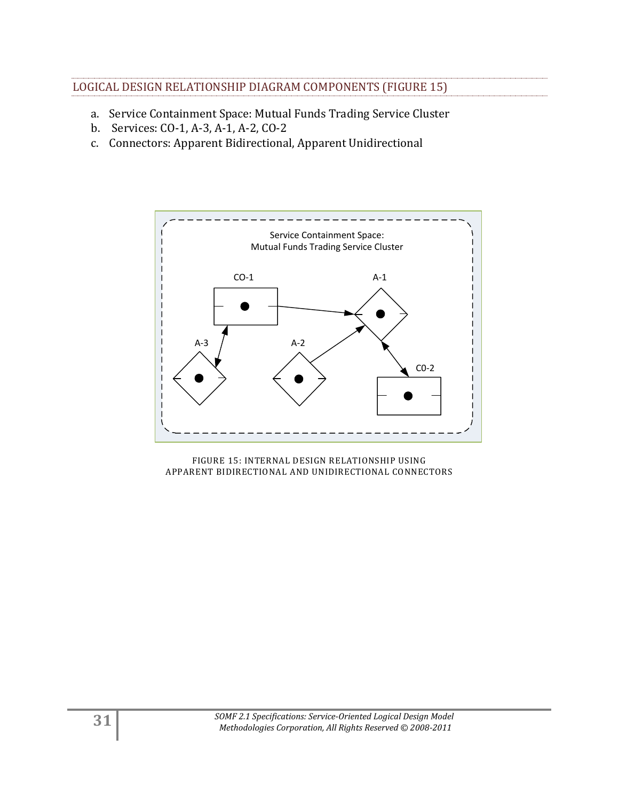- a. Service Containment Space: Mutual Funds Trading Service Cluster
- b. Services: CO-1, A-3, A-1, A-2, CO-2
- c. Connectors: Apparent Bidirectional, Apparent Unidirectional



FIGURE 15: INTERNAL DESIGN RELATIONSHIP USING APPARENT BIDIRECTIONAL AND UNIDIRECTIONAL CONNECTORS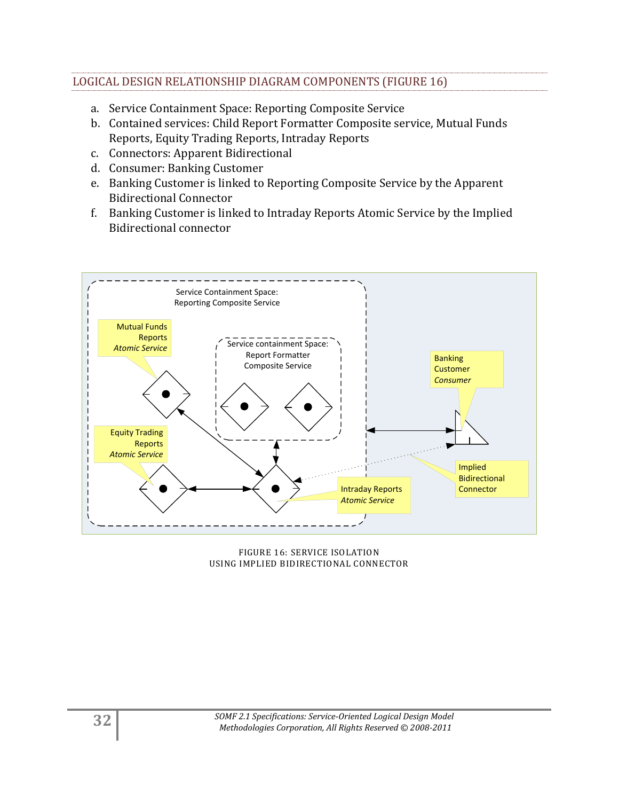## LOGICAL DESIGN RELATIONSHIP DIAGRAM COMPONENTS (FIGURE 16)

- a. Service Containment Space: Reporting Composite Service
- b. Contained services: Child Report Formatter Composite service, Mutual Funds Reports, Equity Trading Reports, Intraday Reports
- c. Connectors: Apparent Bidirectional
- d. Consumer: Banking Customer
- e. Banking Customer is linked to Reporting Composite Service by the Apparent Bidirectional Connector
- f. Banking Customer is linked to Intraday Reports Atomic Service by the Implied Bidirectional connector



FIGURE 16: SERVICE ISOLATION USING IMPLIED BIDIRECTIONAL CONNECTOR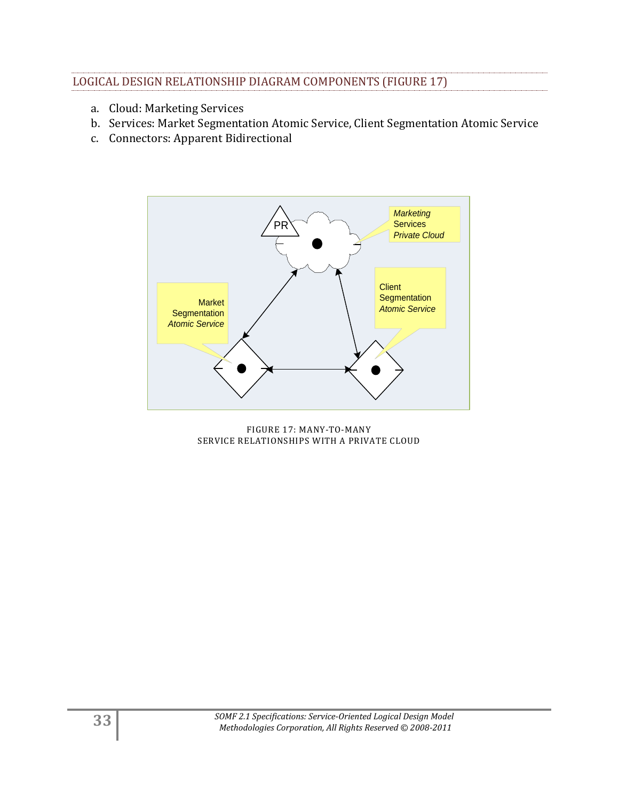## LOGICAL DESIGN RELATIONSHIP DIAGRAM COMPONENTS (FIGURE 17)

- a. Cloud: Marketing Services
- b. Services: Market Segmentation Atomic Service, Client Segmentation Atomic Service
- c. Connectors: Apparent Bidirectional



FIGURE 17: MANY-TO-MANY SERVICE RELATIONSHIPS WITH A PRIVATE CLOUD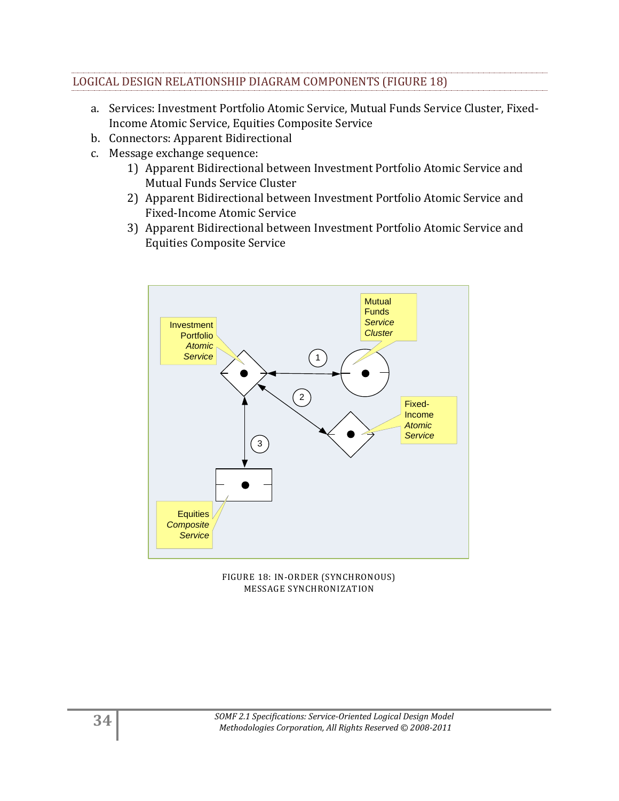## LOGICAL DESIGN RELATIONSHIP DIAGRAM COMPONENTS (FIGURE 18)

- a. Services: Investment Portfolio Atomic Service, Mutual Funds Service Cluster, Fixed-Income Atomic Service, Equities Composite Service
- b. Connectors: Apparent Bidirectional
- c. Message exchange sequence:
	- 1) Apparent Bidirectional between Investment Portfolio Atomic Service and Mutual Funds Service Cluster
	- 2) Apparent Bidirectional between Investment Portfolio Atomic Service and Fixed-Income Atomic Service
	- 3) Apparent Bidirectional between Investment Portfolio Atomic Service and Equities Composite Service



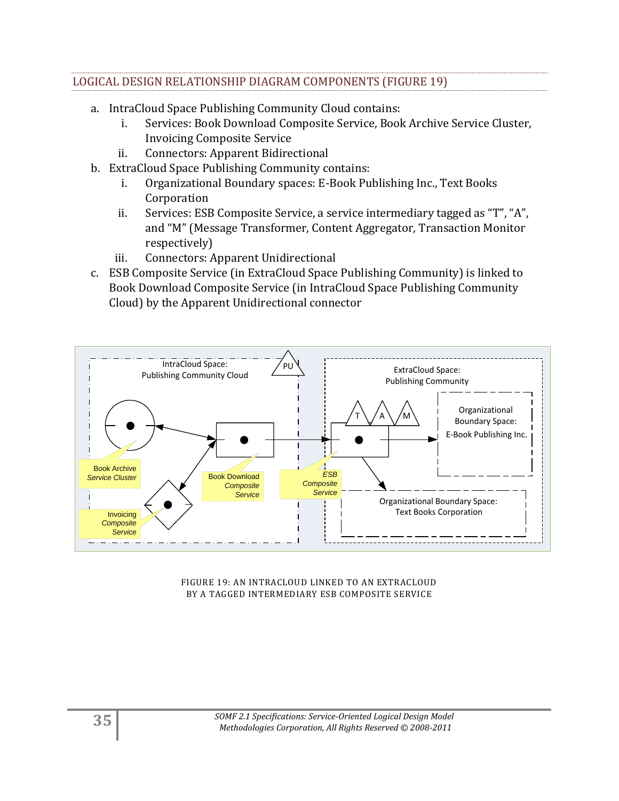## LOGICAL DESIGN RELATIONSHIP DIAGRAM COMPONENTS (FIGURE 19)

- a. IntraCloud Space Publishing Community Cloud contains:
	- i. Services: Book Download Composite Service, Book Archive Service Cluster, Invoicing Composite Service
	- ii. Connectors: Apparent Bidirectional
- b. ExtraCloud Space Publishing Community contains:
	- i. Organizational Boundary spaces: E-Book Publishing Inc., Text Books Corporation
	- ii. Services: ESB Composite Service, a service intermediary tagged as "T", "A", and "M" (Message Transformer, Content Aggregator, Transaction Monitor respectively)
	- iii. Connectors: Apparent Unidirectional
- c. ESB Composite Service (in ExtraCloud Space Publishing Community) is linked to Book Download Composite Service (in IntraCloud Space Publishing Community Cloud) by the Apparent Unidirectional connector



FIGURE 19: AN INTRACLOUD LINKED TO AN EXTRACLOUD BY A TAGGED INTERMEDIARY ESB COMPOSITE SERVICE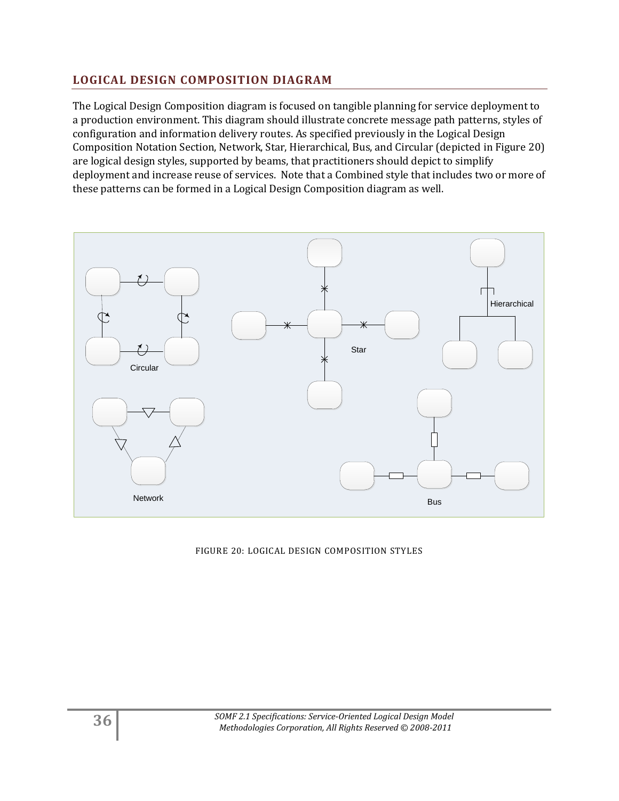## <span id="page-35-0"></span>**LOGICAL DESIGN COMPOSITION DIAGRAM**

The Logical Design Composition diagram is focused on tangible planning for service deployment to a production environment. This diagram should illustrate concrete message path patterns, styles of configuration and information delivery routes. As specified previously in the Logical Design Composition Notation Section, Network, Star, Hierarchical, Bus, and Circular (depicted in Figure 20) are logical design styles, supported by beams, that practitioners should depict to simplify deployment and increase reuse of services. Note that a Combined style that includes two or more of these patterns can be formed in a Logical Design Composition diagram as well.



FIGURE 20: LOGICAL DESIGN COMPOSITION STYLES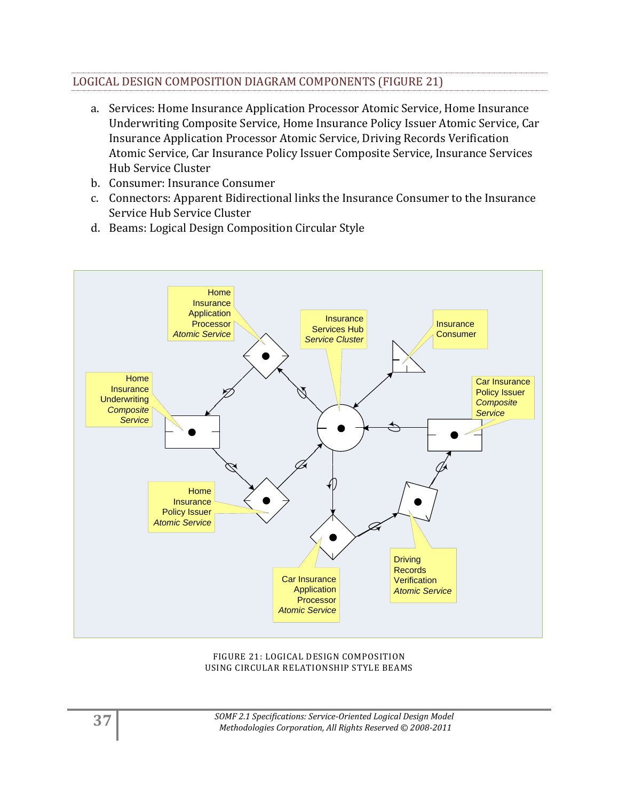## LOGICAL DESIGN COMPOSITION DIAGRAM COMPONENTS (FIGURE 21)

- a. Services: Home Insurance Application Processor Atomic Service, Home Insurance Underwriting Composite Service, Home Insurance Policy Issuer Atomic Service, Car Insurance Application Processor Atomic Service, Driving Records Verification Atomic Service, Car Insurance Policy Issuer Composite Service, Insurance Services Hub Service Cluster
- b. Consumer: Insurance Consumer
- c. Connectors: Apparent Bidirectional links the Insurance Consumer to the Insurance Service Hub Service Cluster
- d. Beams: Logical Design Composition Circular Style



#### FIGURE 21: LOGICAL DESIGN COMPOSITION USING CIRCULAR RELATIONSHIP STYLE BEAMS

**37** *SOMF 2.1 Specifications: Service-Oriented Logical Design Model Methodologies Corporation, All Rights Reserved © 2008-2011*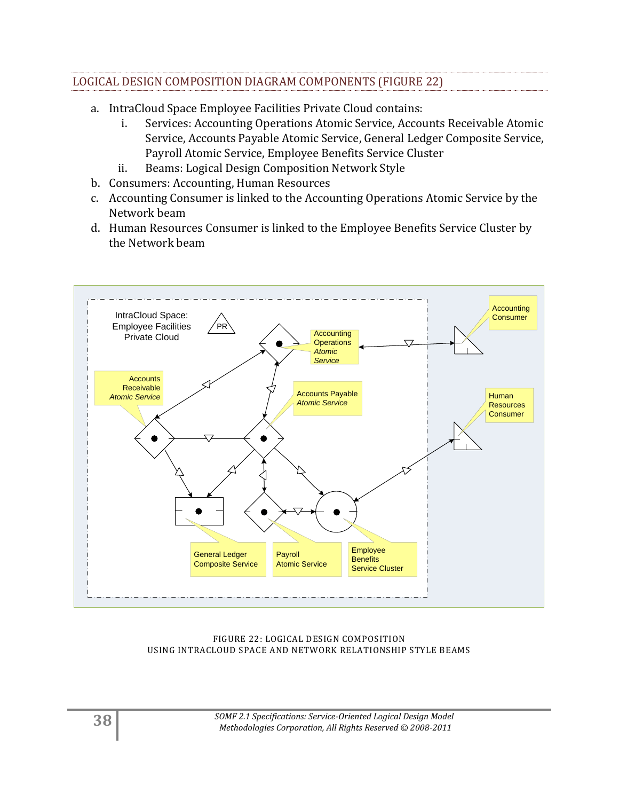## LOGICAL DESIGN COMPOSITION DIAGRAM COMPONENTS (FIGURE 22)

- a. IntraCloud Space Employee Facilities Private Cloud contains:
	- i. Services: Accounting Operations Atomic Service, Accounts Receivable Atomic Service, Accounts Payable Atomic Service, General Ledger Composite Service, Payroll Atomic Service, Employee Benefits Service Cluster
	- ii. Beams: Logical Design Composition Network Style
- b. Consumers: Accounting, Human Resources
- c. Accounting Consumer is linked to the Accounting Operations Atomic Service by the Network beam
- d. Human Resources Consumer is linked to the Employee Benefits Service Cluster by the Network beam



#### FIGURE 22: LOGICAL DESIGN COMPOSITION USING INTRACLOUD SPACE AND NETWORK RELATIONSHIP STYLE BEAMS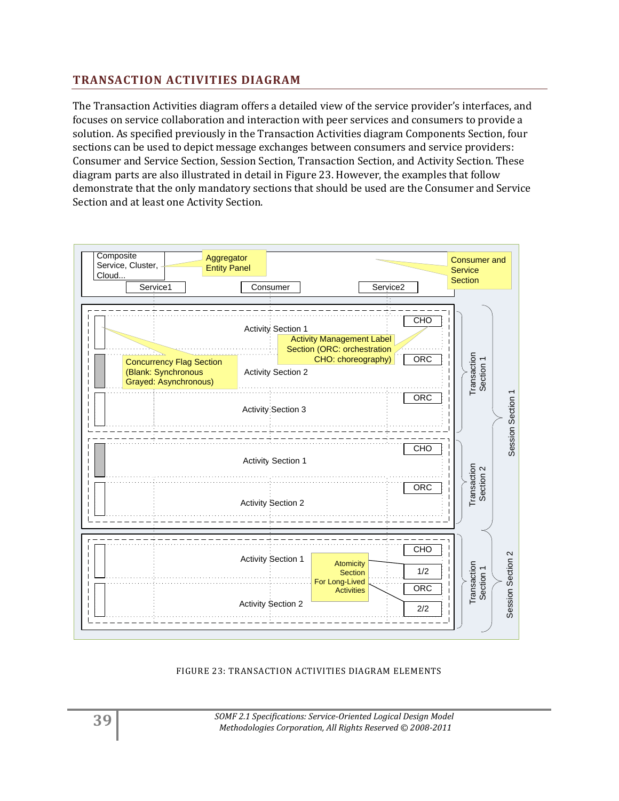## <span id="page-38-0"></span>**TRANSACTION ACTIVITIES DIAGRAM**

The Transaction Activities diagram offers a detailed view of the service provider's interfaces, and focuses on service collaboration and interaction with peer services and consumers to provide a solution. As specified previously in the Transaction Activities diagram Components Section, four sections can be used to depict message exchanges between consumers and service providers: Consumer and Service Section, Session Section, Transaction Section, and Activity Section. These diagram parts are also illustrated in detail in Figure 23. However, the examples that follow demonstrate that the only mandatory sections that should be used are the Consumer and Service Section and at least one Activity Section.



#### FIGURE 23: TRANSACTION ACTIVITIES DIAGRAM ELEMENTS

**39** *SOMF 2.1 Specifications: Service-Oriented Logical Design Model Methodologies Corporation, All Rights Reserved © 2008-2011*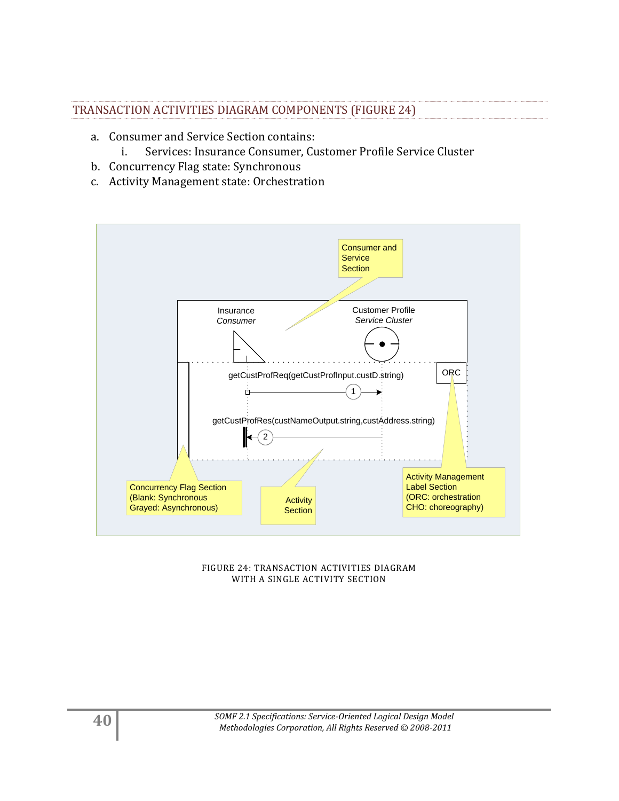## TRANSACTION ACTIVITIES DIAGRAM COMPONENTS (FIGURE 24)

- a. Consumer and Service Section contains:
	- i. Services: Insurance Consumer, Customer Profile Service Cluster
- b. Concurrency Flag state: Synchronous
- c. Activity Management state: Orchestration



FIGURE 24: TRANSACTION ACTIVITIES DIAGRAM WITH A SINGLE ACTIVITY SECTION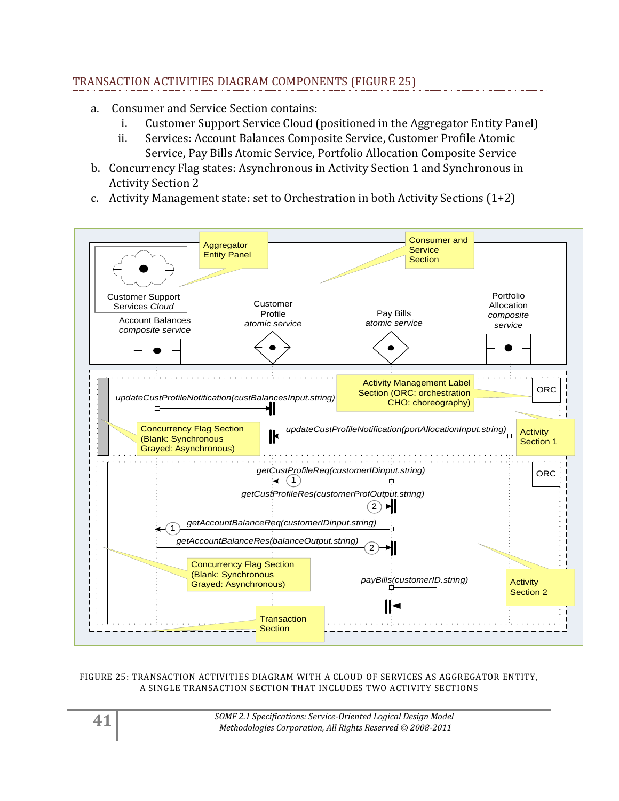## TRANSACTION ACTIVITIES DIAGRAM COMPONENTS (FIGURE 25)

- a. Consumer and Service Section contains:
	- i. Customer Support Service Cloud (positioned in the Aggregator Entity Panel)
	- ii. Services: Account Balances Composite Service, Customer Profile Atomic Service, Pay Bills Atomic Service, Portfolio Allocation Composite Service
- b. Concurrency Flag states: Asynchronous in Activity Section 1 and Synchronous in Activity Section 2
- c. Activity Management state: set to Orchestration in both Activity Sections (1+2)



#### FIGURE 25: TRANSACTION ACTIVITIES DIAGRAM WITH A CLOUD OF SERVICES AS AGGREGATOR ENTITY, A SINGLE TRANSACTION SECTION THAT INCLUDES TWO ACTIVITY SECTIONS

**41** *SOMF 2.1 Specifications: Service-Oriented Logical Design Model Methodologies Corporation, All Rights Reserved © 2008-2011*